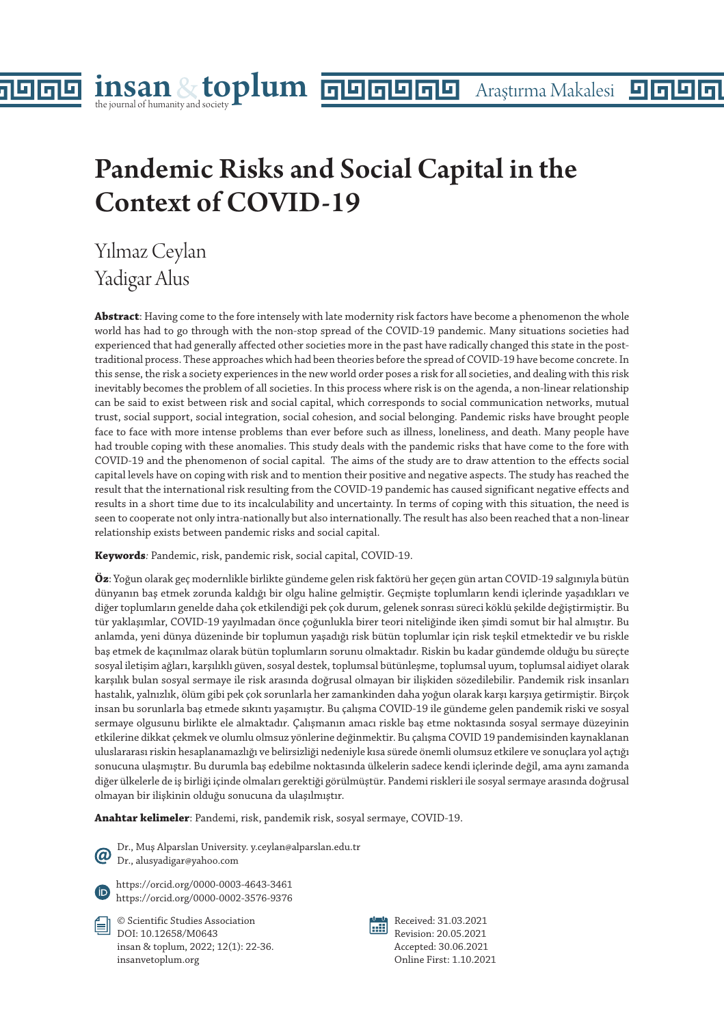# Pandemic Risks and Social Capital in the Context of COVID-19

Yılmaz Ceylan Yadigar Alus

la

**Abstract**: Having come to the fore intensely with late modernity risk factors have become a phenomenon the whole world has had to go through with the non-stop spread of the COVID-19 pandemic. Many situations societies had experienced that had generally affected other societies more in the past have radically changed this state in the posttraditional process. These approaches which had been theories before the spread of COVID-19 have become concrete. In this sense, the risk a society experiences in the new world order poses a risk for all societies, and dealing with this risk inevitably becomes the problem of all societies. In this process where risk is on the agenda, a non-linear relationship can be said to exist between risk and social capital, which corresponds to social communication networks, mutual trust, social support, social integration, social cohesion, and social belonging. Pandemic risks have brought people face to face with more intense problems than ever before such as illness, loneliness, and death. Many people have had trouble coping with these anomalies. This study deals with the pandemic risks that have come to the fore with COVID-19 and the phenomenon of social capital. The aims of the study are to draw attention to the effects social capital levels have on coping with risk and to mention their positive and negative aspects. The study has reached the result that the international risk resulting from the COVID-19 pandemic has caused significant negative effects and results in a short time due to its incalculability and uncertainty. In terms of coping with this situation, the need is seen to cooperate not only intra-nationally but also internationally. The result has also been reached that a non-linear relationship exists between pandemic risks and social capital.

**Keywords***:* Pandemic, risk, pandemic risk, social capital, COVID-19.

**Öz**: Yoğun olarak geç modernlikle birlikte gündeme gelen risk faktörü her geçen gün artan COVID-19 salgınıyla bütün dünyanın baş etmek zorunda kaldığı bir olgu haline gelmiştir. Geçmişte toplumların kendi içlerinde yaşadıkları ve diğer toplumların genelde daha çok etkilendiği pek çok durum, gelenek sonrası süreci köklü şekilde değiştirmiştir. Bu tür yaklaşımlar, COVID-19 yayılmadan önce çoğunlukla birer teori niteliğinde iken şimdi somut bir hal almıştır. Bu anlamda, yeni dünya düzeninde bir toplumun yaşadığı risk bütün toplumlar için risk teşkil etmektedir ve bu riskle baş etmek de kaçınılmaz olarak bütün toplumların sorunu olmaktadır. Riskin bu kadar gündemde olduğu bu süreçte sosyal iletişim ağları, karşılıklı güven, sosyal destek, toplumsal bütünleşme, toplumsal uyum, toplumsal aidiyet olarak karşılık bulan sosyal sermaye ile risk arasında doğrusal olmayan bir ilişkiden sözedilebilir. Pandemik risk insanları hastalık, yalnızlık, ölüm gibi pek çok sorunlarla her zamankinden daha yoğun olarak karşı karşıya getirmiştir. Birçok insan bu sorunlarla baş etmede sıkıntı yaşamıştır. Bu çalışma COVID-19 ile gündeme gelen pandemik riski ve sosyal sermaye olgusunu birlikte ele almaktadır. Çalışmanın amacı riskle baş etme noktasında sosyal sermaye düzeyinin etkilerine dikkat çekmek ve olumlu olmsuz yönlerine değinmektir. Bu çalışma COVID 19 pandemisinden kaynaklanan uluslararası riskin hesaplanamazlığı ve belirsizliği nedeniyle kısa sürede önemli olumsuz etkilere ve sonuçlara yol açtığı sonucuna ulaşmıştır. Bu durumla baş edebilme noktasında ülkelerin sadece kendi içlerinde değil, ama aynı zamanda diğer ülkelerle de iş birliği içinde olmaları gerektiği görülmüştür. Pandemi riskleri ile sosyal sermaye arasında doğrusal olmayan bir ilişkinin olduğu sonucuna da ulaşılmıştır.

**Anahtar kelimeler**: Pandemi, risk, pandemik risk, sosyal sermaye, COVID-19.

Dr., Muş Alparslan University. y.ceylan@alparslan.edu.tr Dr., alusyadigar@yahoo.com

https://orcid.org/0000-0003-4643-3461 https://orcid.org/0000-0002-3576-9376

© Scientific Studies Association DOI: 10.12658/M0643 insan & toplum, 2022; 12(1): 22-36. insanvetoplum.org



Received: 31.03.2021 Revision: 20.05.2021 Accepted: 30.06.2021 Online First: 1.10.2021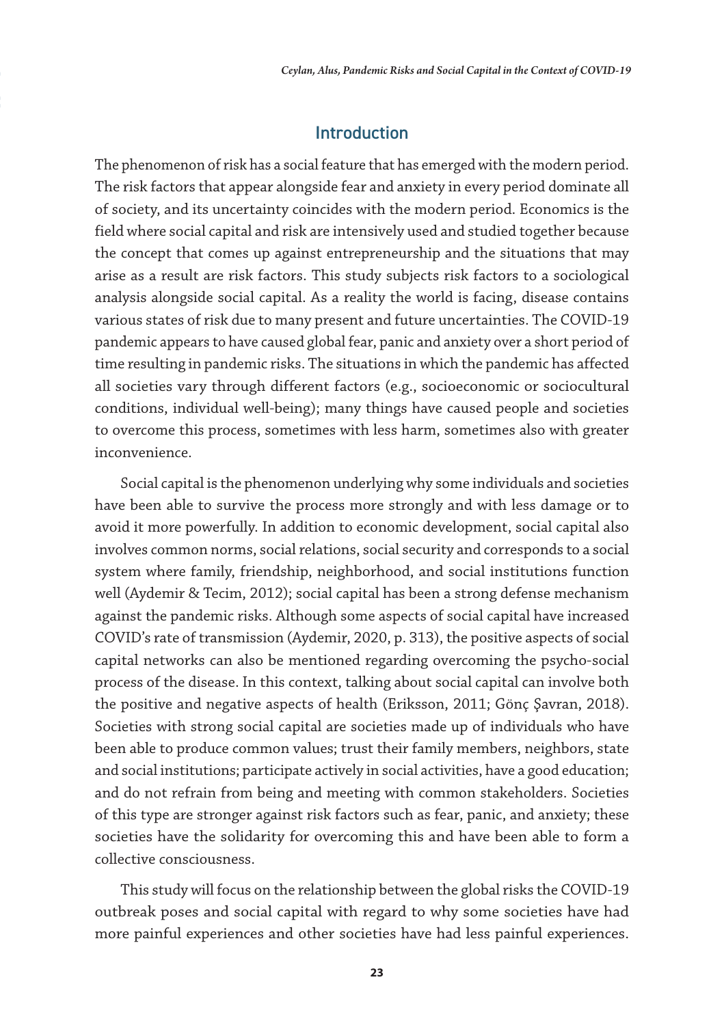## Introduction

The phenomenon of risk has a social feature that has emerged with the modern period. The risk factors that appear alongside fear and anxiety in every period dominate all of society, and its uncertainty coincides with the modern period. Economics is the field where social capital and risk are intensively used and studied together because the concept that comes up against entrepreneurship and the situations that may arise as a result are risk factors. This study subjects risk factors to a sociological analysis alongside social capital. As a reality the world is facing, disease contains various states of risk due to many present and future uncertainties. The COVID-19 pandemic appears to have caused global fear, panic and anxiety over a short period of time resulting in pandemic risks. The situations in which the pandemic has affected all societies vary through different factors (e.g., socioeconomic or sociocultural conditions, individual well-being); many things have caused people and societies to overcome this process, sometimes with less harm, sometimes also with greater inconvenience.

Social capital is the phenomenon underlying why some individuals and societies have been able to survive the process more strongly and with less damage or to avoid it more powerfully. In addition to economic development, social capital also involves common norms, social relations, social security and corresponds to a social system where family, friendship, neighborhood, and social institutions function well (Aydemir & Tecim, 2012); social capital has been a strong defense mechanism against the pandemic risks. Although some aspects of social capital have increased COVID's rate of transmission (Aydemir, 2020, p. 313), the positive aspects of social capital networks can also be mentioned regarding overcoming the psycho-social process of the disease. In this context, talking about social capital can involve both the positive and negative aspects of health (Eriksson, 2011; Gönç Şavran, 2018). Societies with strong social capital are societies made up of individuals who have been able to produce common values; trust their family members, neighbors, state and social institutions; participate actively in social activities, have a good education; and do not refrain from being and meeting with common stakeholders. Societies of this type are stronger against risk factors such as fear, panic, and anxiety; these societies have the solidarity for overcoming this and have been able to form a collective consciousness.

This study will focus on the relationship between the global risks the COVID-19 outbreak poses and social capital with regard to why some societies have had more painful experiences and other societies have had less painful experiences.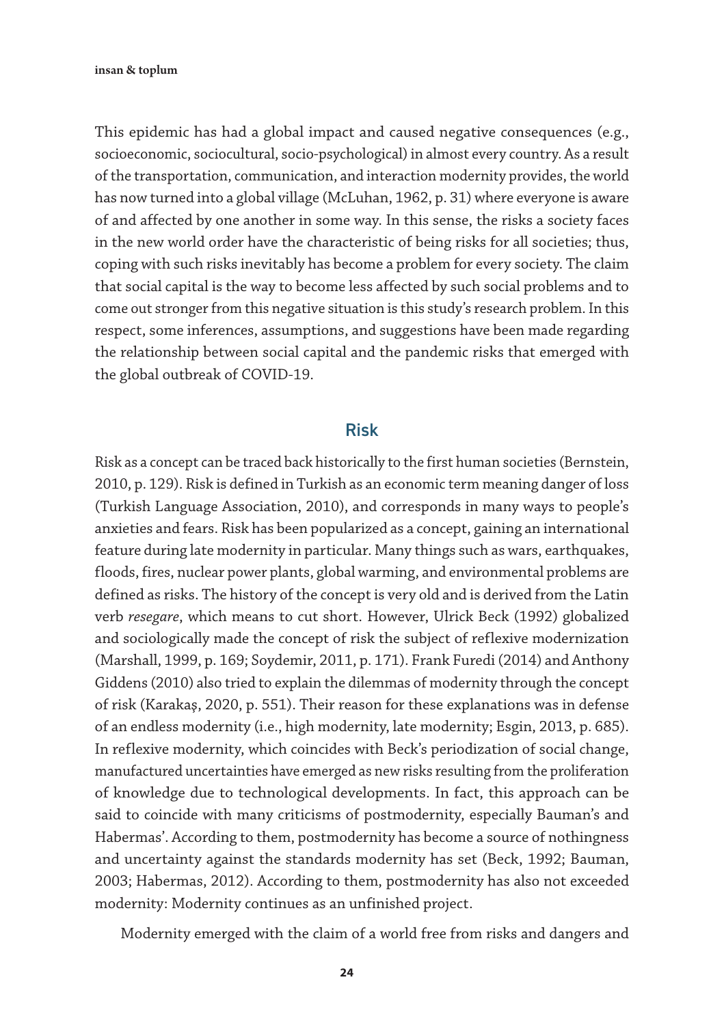This epidemic has had a global impact and caused negative consequences (e.g., socioeconomic, sociocultural, socio-psychological) in almost every country. As a result of the transportation, communication, and interaction modernity provides, the world has now turned into a global village (McLuhan, 1962, p. 31) where everyone is aware of and affected by one another in some way. In this sense, the risks a society faces in the new world order have the characteristic of being risks for all societies; thus, coping with such risks inevitably has become a problem for every society. The claim that social capital is the way to become less affected by such social problems and to come out stronger from this negative situation is this study's research problem. In this respect, some inferences, assumptions, and suggestions have been made regarding the relationship between social capital and the pandemic risks that emerged with the global outbreak of COVID-19.

#### Risk

Risk as a concept can be traced back historically to the first human societies (Bernstein, 2010, p. 129). Risk is defined in Turkish as an economic term meaning danger of loss (Turkish Language Association, 2010), and corresponds in many ways to people's anxieties and fears. Risk has been popularized as a concept, gaining an international feature during late modernity in particular. Many things such as wars, earthquakes, floods, fires, nuclear power plants, global warming, and environmental problems are defined as risks. The history of the concept is very old and is derived from the Latin verb *resegare*, which means to cut short. However, Ulrick Beck (1992) globalized and sociologically made the concept of risk the subject of reflexive modernization (Marshall, 1999, p. 169; Soydemir, 2011, p. 171). Frank Furedi (2014) and Anthony Giddens (2010) also tried to explain the dilemmas of modernity through the concept of risk (Karakaş, 2020, p. 551). Their reason for these explanations was in defense of an endless modernity (i.e., high modernity, late modernity; Esgin, 2013, p. 685). In reflexive modernity, which coincides with Beck's periodization of social change, manufactured uncertainties have emerged as new risks resulting from the proliferation of knowledge due to technological developments. In fact, this approach can be said to coincide with many criticisms of postmodernity, especially Bauman's and Habermas'. According to them, postmodernity has become a source of nothingness and uncertainty against the standards modernity has set (Beck, 1992; Bauman, 2003; Habermas, 2012). According to them, postmodernity has also not exceeded modernity: Modernity continues as an unfinished project.

Modernity emerged with the claim of a world free from risks and dangers and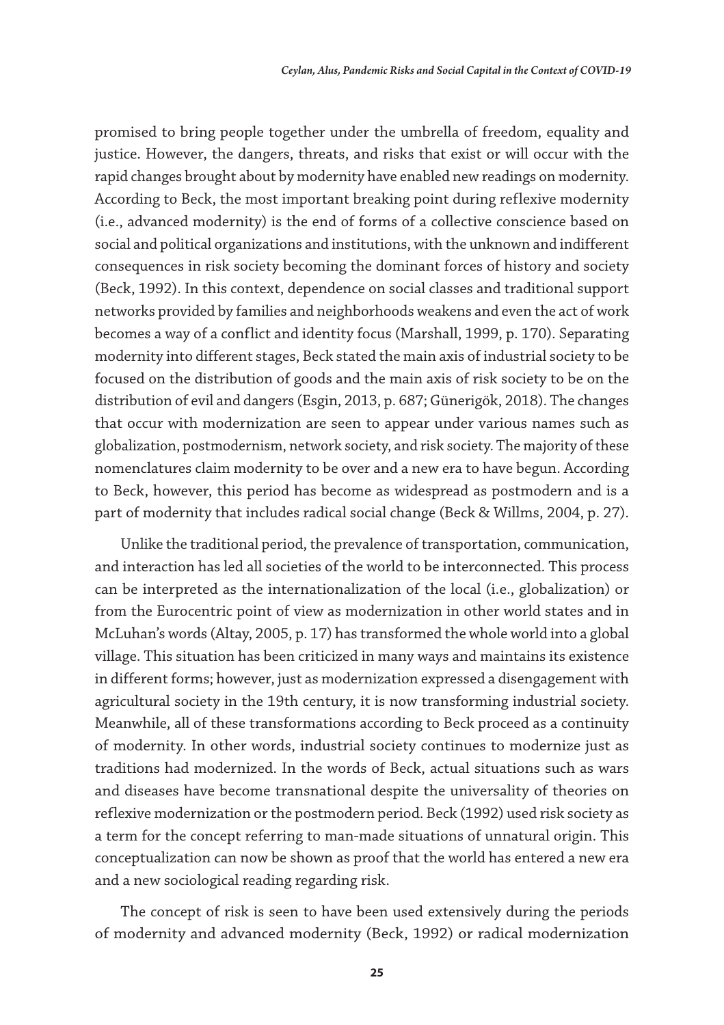promised to bring people together under the umbrella of freedom, equality and justice. However, the dangers, threats, and risks that exist or will occur with the rapid changes brought about by modernity have enabled new readings on modernity. According to Beck, the most important breaking point during reflexive modernity (i.e., advanced modernity) is the end of forms of a collective conscience based on social and political organizations and institutions, with the unknown and indifferent consequences in risk society becoming the dominant forces of history and society (Beck, 1992). In this context, dependence on social classes and traditional support networks provided by families and neighborhoods weakens and even the act of work becomes a way of a conflict and identity focus (Marshall, 1999, p. 170). Separating modernity into different stages, Beck stated the main axis of industrial society to be focused on the distribution of goods and the main axis of risk society to be on the distribution of evil and dangers (Esgin, 2013, p. 687; Günerigök, 2018). The changes that occur with modernization are seen to appear under various names such as globalization, postmodernism, network society, and risk society. The majority of these nomenclatures claim modernity to be over and a new era to have begun. According to Beck, however, this period has become as widespread as postmodern and is a part of modernity that includes radical social change (Beck & Willms, 2004, p. 27).

Unlike the traditional period, the prevalence of transportation, communication, and interaction has led all societies of the world to be interconnected. This process can be interpreted as the internationalization of the local (i.e., globalization) or from the Eurocentric point of view as modernization in other world states and in McLuhan's words (Altay, 2005, p. 17) has transformed the whole world into a global village. This situation has been criticized in many ways and maintains its existence in different forms; however, just as modernization expressed a disengagement with agricultural society in the 19th century, it is now transforming industrial society. Meanwhile, all of these transformations according to Beck proceed as a continuity of modernity. In other words, industrial society continues to modernize just as traditions had modernized. In the words of Beck, actual situations such as wars and diseases have become transnational despite the universality of theories on reflexive modernization or the postmodern period. Beck (1992) used risk society as a term for the concept referring to man-made situations of unnatural origin. This conceptualization can now be shown as proof that the world has entered a new era and a new sociological reading regarding risk.

The concept of risk is seen to have been used extensively during the periods of modernity and advanced modernity (Beck, 1992) or radical modernization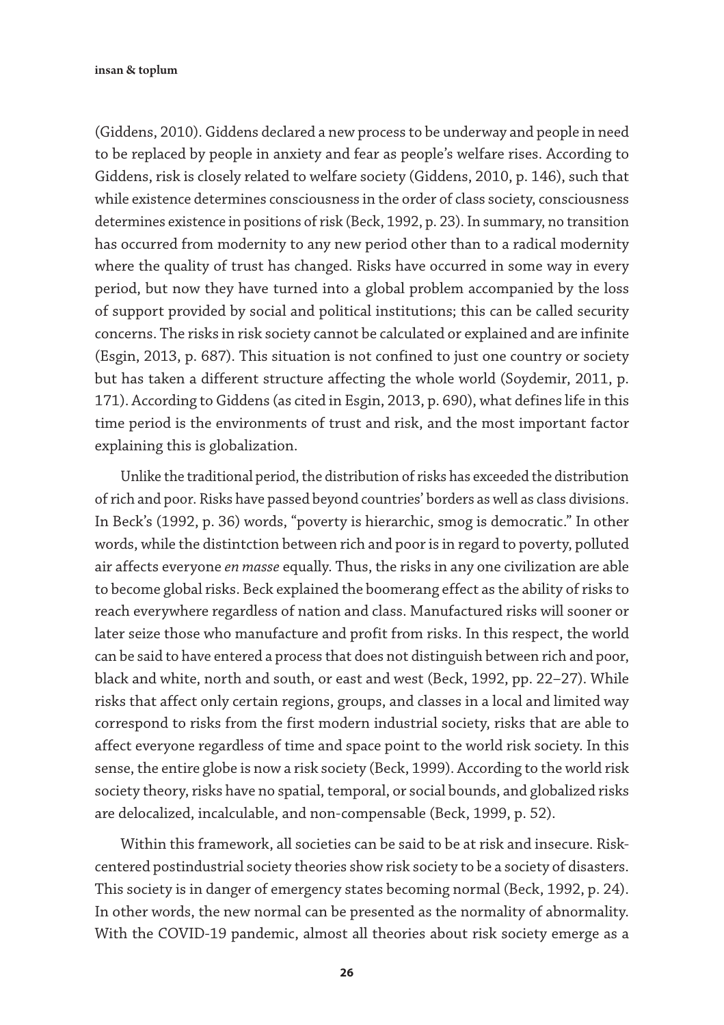(Giddens, 2010). Giddens declared a new process to be underway and people in need to be replaced by people in anxiety and fear as people's welfare rises. According to Giddens, risk is closely related to welfare society (Giddens, 2010, p. 146), such that while existence determines consciousness in the order of class society, consciousness determines existence in positions of risk (Beck, 1992, p. 23). In summary, no transition has occurred from modernity to any new period other than to a radical modernity where the quality of trust has changed. Risks have occurred in some way in every period, but now they have turned into a global problem accompanied by the loss of support provided by social and political institutions; this can be called security concerns. The risks in risk society cannot be calculated or explained and are infinite (Esgin, 2013, p. 687). This situation is not confined to just one country or society but has taken a different structure affecting the whole world (Soydemir, 2011, p. 171). According to Giddens (as cited in Esgin, 2013, p. 690), what defines life in this time period is the environments of trust and risk, and the most important factor explaining this is globalization.

Unlike the traditional period, the distribution of risks has exceeded the distribution of rich and poor. Risks have passed beyond countries' borders as well as class divisions. In Beck's (1992, p. 36) words, "poverty is hierarchic, smog is democratic." In other words, while the distintction between rich and poor is in regard to poverty, polluted air affects everyone *en masse* equally. Thus, the risks in any one civilization are able to become global risks. Beck explained the boomerang effect as the ability of risks to reach everywhere regardless of nation and class. Manufactured risks will sooner or later seize those who manufacture and profit from risks. In this respect, the world can be said to have entered a process that does not distinguish between rich and poor, black and white, north and south, or east and west (Beck, 1992, pp. 22–27). While risks that affect only certain regions, groups, and classes in a local and limited way correspond to risks from the first modern industrial society, risks that are able to affect everyone regardless of time and space point to the world risk society. In this sense, the entire globe is now a risk society (Beck, 1999). According to the world risk society theory, risks have no spatial, temporal, or social bounds, and globalized risks are delocalized, incalculable, and non-compensable (Beck, 1999, p. 52).

Within this framework, all societies can be said to be at risk and insecure. Riskcentered postindustrial society theories show risk society to be a society of disasters. This society is in danger of emergency states becoming normal (Beck, 1992, p. 24). In other words, the new normal can be presented as the normality of abnormality. With the COVID-19 pandemic, almost all theories about risk society emerge as a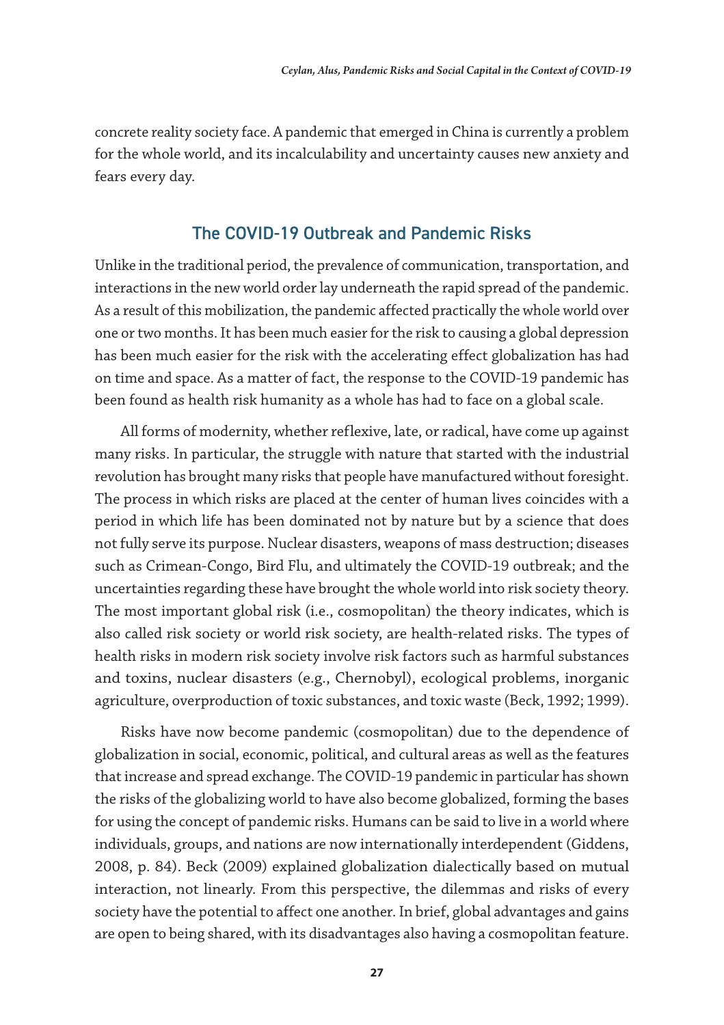concrete reality society face. A pandemic that emerged in China is currently a problem for the whole world, and its incalculability and uncertainty causes new anxiety and fears every day.

## The COVID-19 Outbreak and Pandemic Risks

Unlike in the traditional period, the prevalence of communication, transportation, and interactions in the new world order lay underneath the rapid spread of the pandemic. As a result of this mobilization, the pandemic affected practically the whole world over one or two months. It has been much easier for the risk to causing a global depression has been much easier for the risk with the accelerating effect globalization has had on time and space. As a matter of fact, the response to the COVID-19 pandemic has been found as health risk humanity as a whole has had to face on a global scale.

All forms of modernity, whether reflexive, late, or radical, have come up against many risks. In particular, the struggle with nature that started with the industrial revolution has brought many risks that people have manufactured without foresight. The process in which risks are placed at the center of human lives coincides with a period in which life has been dominated not by nature but by a science that does not fully serve its purpose. Nuclear disasters, weapons of mass destruction; diseases such as Crimean-Congo, Bird Flu, and ultimately the COVID-19 outbreak; and the uncertainties regarding these have brought the whole world into risk society theory. The most important global risk (i.e., cosmopolitan) the theory indicates, which is also called risk society or world risk society, are health-related risks. The types of health risks in modern risk society involve risk factors such as harmful substances and toxins, nuclear disasters (e.g., Chernobyl), ecological problems, inorganic agriculture, overproduction of toxic substances, and toxic waste (Beck, 1992; 1999).

Risks have now become pandemic (cosmopolitan) due to the dependence of globalization in social, economic, political, and cultural areas as well as the features that increase and spread exchange. The COVID-19 pandemic in particular has shown the risks of the globalizing world to have also become globalized, forming the bases for using the concept of pandemic risks. Humans can be said to live in a world where individuals, groups, and nations are now internationally interdependent (Giddens, 2008, p. 84). Beck (2009) explained globalization dialectically based on mutual interaction, not linearly. From this perspective, the dilemmas and risks of every society have the potential to affect one another. In brief, global advantages and gains are open to being shared, with its disadvantages also having a cosmopolitan feature.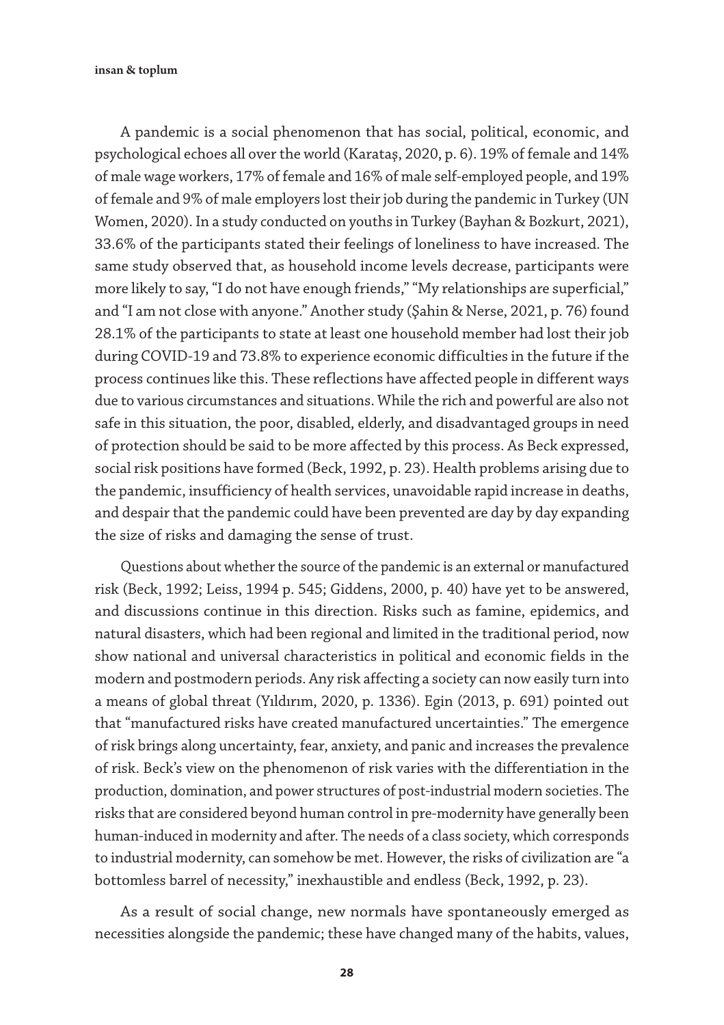insan & toplum

A pandemic is a social phenomenon that has social, political, economic, and psychological echoes all over the world (Karataş, 2020, p. 6). 19% of female and 14% of male wage workers, 17% of female and 16% of male self-employed people, and 19% of female and 9% of male employers lost their job during the pandemic in Turkey (UN Women, 2020). In a study conducted on youths in Turkey (Bayhan & Bozkurt, 2021), 33.6% of the participants stated their feelings of loneliness to have increased. The same study observed that, as household income levels decrease, participants were more likely to say, "I do not have enough friends," "My relationships are superficial," and "I am not close with anyone." Another study (Şahin & Nerse, 2021, p. 76) found 28.1% of the participants to state at least one household member had lost their job during COVID-19 and 73.8% to experience economic difficulties in the future if the process continues like this. These reflections have affected people in different ways due to various circumstances and situations. While the rich and powerful are also not safe in this situation, the poor, disabled, elderly, and disadvantaged groups in need of protection should be said to be more affected by this process. As Beck expressed, social risk positions have formed (Beck, 1992, p. 23). Health problems arising due to the pandemic, insufficiency of health services, unavoidable rapid increase in deaths, and despair that the pandemic could have been prevented are day by day expanding the size of risks and damaging the sense of trust.

Questions about whether the source of the pandemic is an external or manufactured risk (Beck, 1992; Leiss, 1994 p. 545; Giddens, 2000, p. 40) have yet to be answered, and discussions continue in this direction. Risks such as famine, epidemics, and natural disasters, which had been regional and limited in the traditional period, now show national and universal characteristics in political and economic fields in the modern and postmodern periods. Any risk affecting a society can now easily turn into a means of global threat (Yıldırım, 2020, p. 1336). Egin (2013, p. 691) pointed out that "manufactured risks have created manufactured uncertainties." The emergence of risk brings along uncertainty, fear, anxiety, and panic and increases the prevalence of risk. Beck's view on the phenomenon of risk varies with the differentiation in the production, domination, and power structures of post-industrial modern societies. The risks that are considered beyond human control in pre-modernity have generally been human-induced in modernity and after. The needs of a class society, which corresponds to industrial modernity, can somehow be met. However, the risks of civilization are "a bottomless barrel of necessity," inexhaustible and endless (Beck, 1992, p. 23).

As a result of social change, new normals have spontaneously emerged as necessities alongside the pandemic; these have changed many of the habits, values,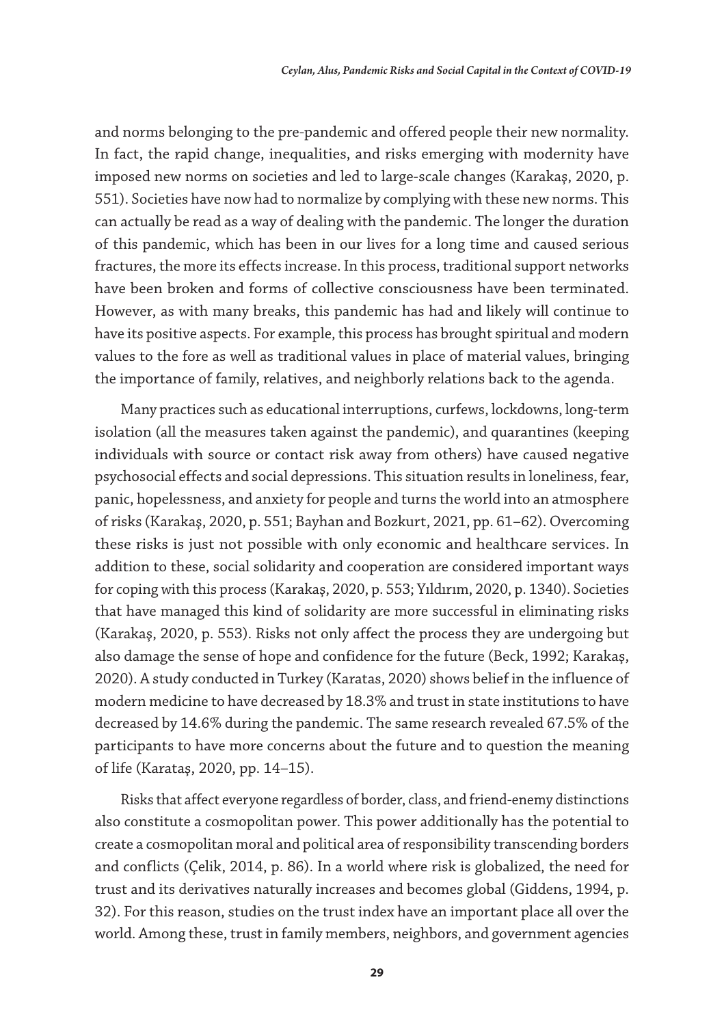and norms belonging to the pre-pandemic and offered people their new normality. In fact, the rapid change, inequalities, and risks emerging with modernity have imposed new norms on societies and led to large-scale changes (Karakaş, 2020, p. 551). Societies have now had to normalize by complying with these new norms. This can actually be read as a way of dealing with the pandemic. The longer the duration of this pandemic, which has been in our lives for a long time and caused serious fractures, the more its effects increase. In this process, traditional support networks have been broken and forms of collective consciousness have been terminated. However, as with many breaks, this pandemic has had and likely will continue to have its positive aspects. For example, this process has brought spiritual and modern values to the fore as well as traditional values in place of material values, bringing the importance of family, relatives, and neighborly relations back to the agenda.

Many practices such as educational interruptions, curfews, lockdowns, long-term isolation (all the measures taken against the pandemic), and quarantines (keeping individuals with source or contact risk away from others) have caused negative psychosocial effects and social depressions. This situation results in loneliness, fear, panic, hopelessness, and anxiety for people and turns the world into an atmosphere of risks (Karakaş, 2020, p. 551; Bayhan and Bozkurt, 2021, pp. 61–62). Overcoming these risks is just not possible with only economic and healthcare services. In addition to these, social solidarity and cooperation are considered important ways for coping with this process (Karakaş, 2020, p. 553; Yıldırım, 2020, p. 1340). Societies that have managed this kind of solidarity are more successful in eliminating risks (Karakaş, 2020, p. 553). Risks not only affect the process they are undergoing but also damage the sense of hope and confidence for the future (Beck, 1992; Karakaş, 2020). A study conducted in Turkey (Karatas, 2020) shows belief in the influence of modern medicine to have decreased by 18.3% and trust in state institutions to have decreased by 14.6% during the pandemic. The same research revealed 67.5% of the participants to have more concerns about the future and to question the meaning of life (Karataş, 2020, pp. 14–15).

Risks that affect everyone regardless of border, class, and friend-enemy distinctions also constitute a cosmopolitan power. This power additionally has the potential to create a cosmopolitan moral and political area of responsibility transcending borders and conflicts (Çelik, 2014, p. 86). In a world where risk is globalized, the need for trust and its derivatives naturally increases and becomes global (Giddens, 1994, p. 32). For this reason, studies on the trust index have an important place all over the world. Among these, trust in family members, neighbors, and government agencies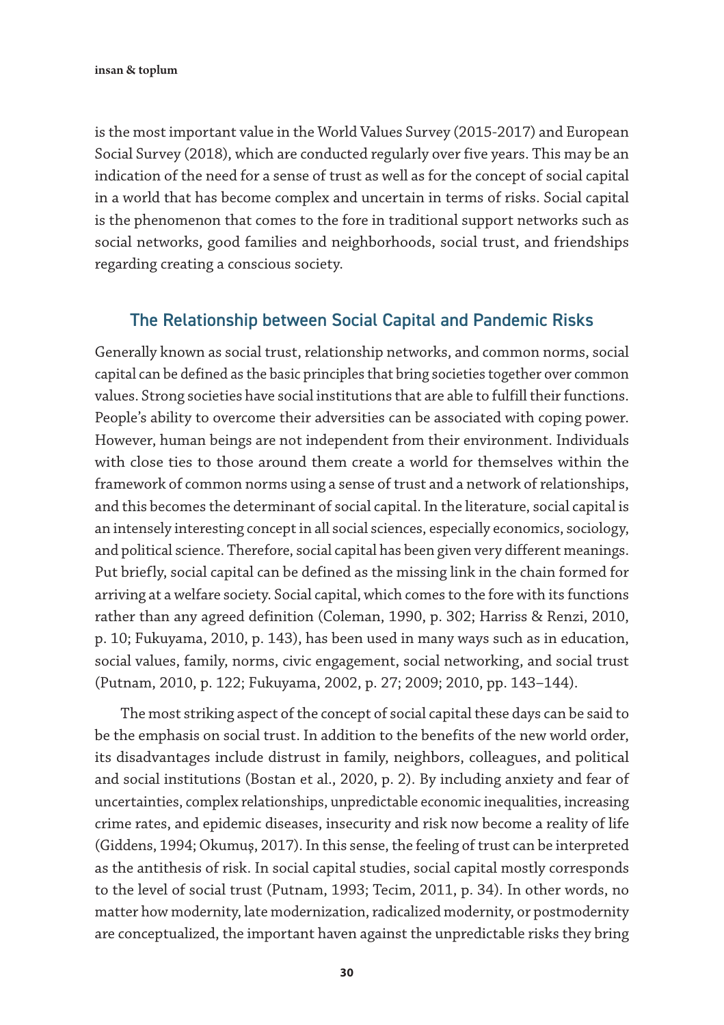is the most important value in the World Values Survey (2015-2017) and European Social Survey (2018), which are conducted regularly over five years. This may be an indication of the need for a sense of trust as well as for the concept of social capital in a world that has become complex and uncertain in terms of risks. Social capital is the phenomenon that comes to the fore in traditional support networks such as social networks, good families and neighborhoods, social trust, and friendships regarding creating a conscious society.

## The Relationship between Social Capital and Pandemic Risks

Generally known as social trust, relationship networks, and common norms, social capital can be defined as the basic principles that bring societies together over common values. Strong societies have social institutions that are able to fulfill their functions. People's ability to overcome their adversities can be associated with coping power. However, human beings are not independent from their environment. Individuals with close ties to those around them create a world for themselves within the framework of common norms using a sense of trust and a network of relationships, and this becomes the determinant of social capital. In the literature, social capital is an intensely interesting concept in all social sciences, especially economics, sociology, and political science. Therefore, social capital has been given very different meanings. Put briefly, social capital can be defined as the missing link in the chain formed for arriving at a welfare society. Social capital, which comes to the fore with its functions rather than any agreed definition (Coleman, 1990, p. 302; Harriss & Renzi, 2010, p. 10; Fukuyama, 2010, p. 143), has been used in many ways such as in education, social values, family, norms, civic engagement, social networking, and social trust (Putnam, 2010, p. 122; Fukuyama, 2002, p. 27; 2009; 2010, pp. 143–144).

The most striking aspect of the concept of social capital these days can be said to be the emphasis on social trust. In addition to the benefits of the new world order, its disadvantages include distrust in family, neighbors, colleagues, and political and social institutions (Bostan et al., 2020, p. 2). By including anxiety and fear of uncertainties, complex relationships, unpredictable economic inequalities, increasing crime rates, and epidemic diseases, insecurity and risk now become a reality of life (Giddens, 1994; Okumuş, 2017). In this sense, the feeling of trust can be interpreted as the antithesis of risk. In social capital studies, social capital mostly corresponds to the level of social trust (Putnam, 1993; Tecim, 2011, p. 34). In other words, no matter how modernity, late modernization, radicalized modernity, or postmodernity are conceptualized, the important haven against the unpredictable risks they bring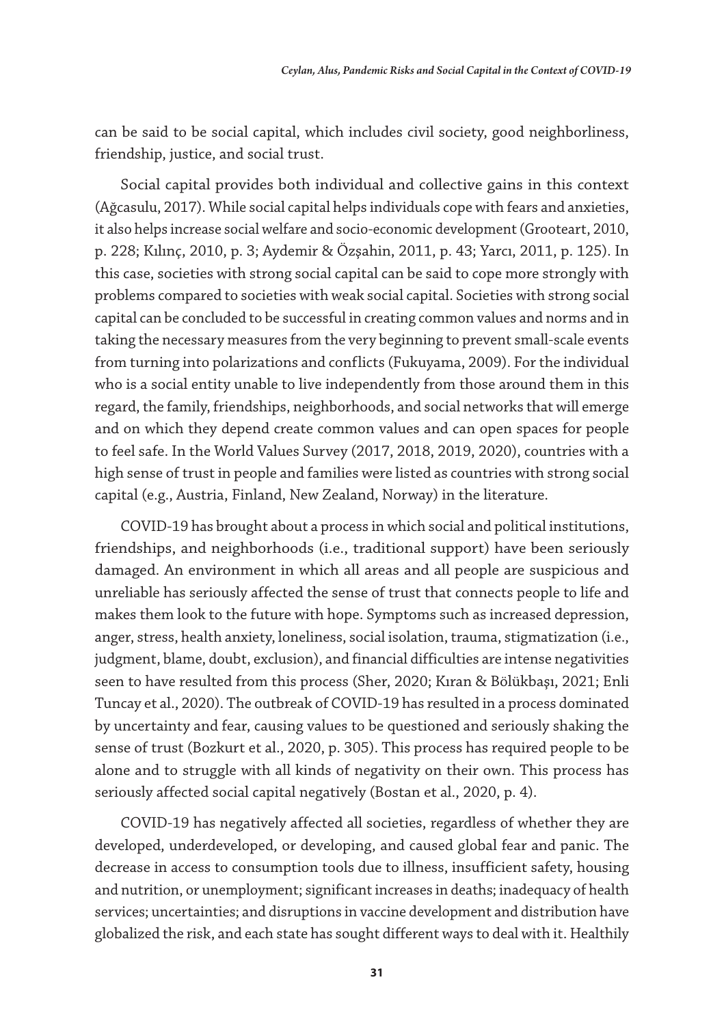can be said to be social capital, which includes civil society, good neighborliness, friendship, justice, and social trust.

Social capital provides both individual and collective gains in this context (Ağcasulu, 2017). While social capital helps individuals cope with fears and anxieties, it also helps increase social welfare and socio-economic development (Grooteart, 2010, p. 228; Kılınç, 2010, p. 3; Aydemir & Özşahin, 2011, p. 43; Yarcı, 2011, p. 125). In this case, societies with strong social capital can be said to cope more strongly with problems compared to societies with weak social capital. Societies with strong social capital can be concluded to be successful in creating common values and norms and in taking the necessary measures from the very beginning to prevent small-scale events from turning into polarizations and conflicts (Fukuyama, 2009). For the individual who is a social entity unable to live independently from those around them in this regard, the family, friendships, neighborhoods, and social networks that will emerge and on which they depend create common values and can open spaces for people to feel safe. In the World Values Survey (2017, 2018, 2019, 2020), countries with a high sense of trust in people and families were listed as countries with strong social capital (e.g., Austria, Finland, New Zealand, Norway) in the literature.

COVID-19 has brought about a process in which social and political institutions, friendships, and neighborhoods (i.e., traditional support) have been seriously damaged. An environment in which all areas and all people are suspicious and unreliable has seriously affected the sense of trust that connects people to life and makes them look to the future with hope. Symptoms such as increased depression, anger, stress, health anxiety, loneliness, social isolation, trauma, stigmatization (i.e., judgment, blame, doubt, exclusion), and financial difficulties are intense negativities seen to have resulted from this process (Sher, 2020; Kıran & Bölükbaşı, 2021; Enli Tuncay et al., 2020). The outbreak of COVID-19 has resulted in a process dominated by uncertainty and fear, causing values to be questioned and seriously shaking the sense of trust (Bozkurt et al., 2020, p. 305). This process has required people to be alone and to struggle with all kinds of negativity on their own. This process has seriously affected social capital negatively (Bostan et al., 2020, p. 4).

COVID-19 has negatively affected all societies, regardless of whether they are developed, underdeveloped, or developing, and caused global fear and panic. The decrease in access to consumption tools due to illness, insufficient safety, housing and nutrition, or unemployment; significant increases in deaths; inadequacy of health services; uncertainties; and disruptions in vaccine development and distribution have globalized the risk, and each state has sought different ways to deal with it. Healthily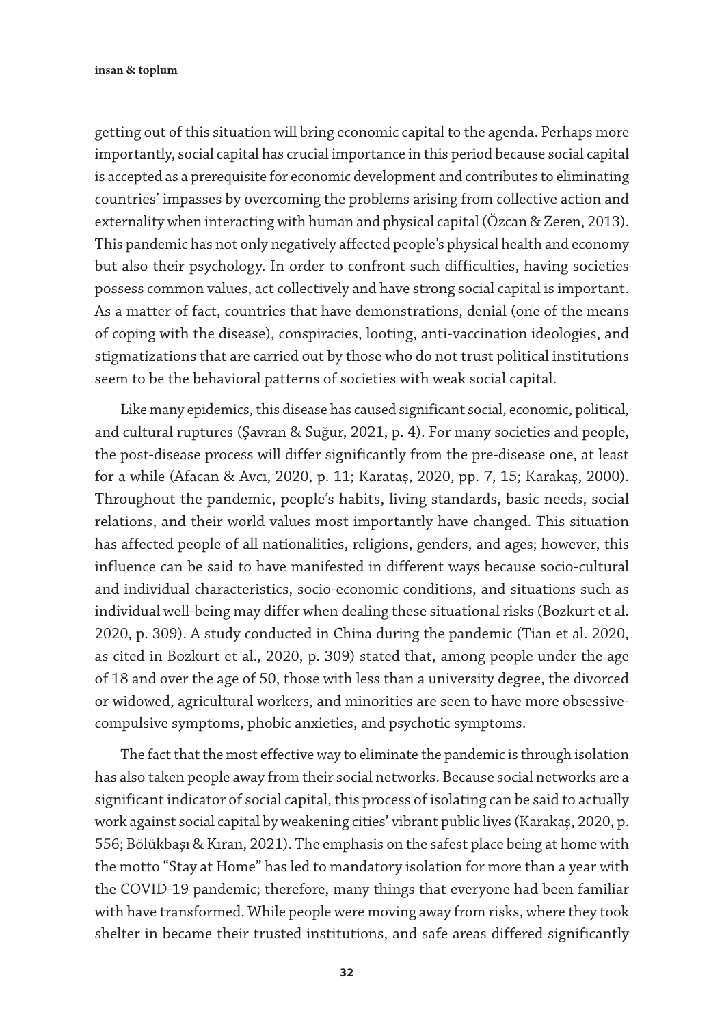getting out of this situation will bring economic capital to the agenda. Perhaps more importantly, social capital has crucial importance in this period because social capital is accepted as a prerequisite for economic development and contributes to eliminating countries' impasses by overcoming the problems arising from collective action and externality when interacting with human and physical capital (Özcan & Zeren, 2013). This pandemic has not only negatively affected people's physical health and economy but also their psychology. In order to confront such difficulties, having societies possess common values, act collectively and have strong social capital is important. As a matter of fact, countries that have demonstrations, denial (one of the means of coping with the disease), conspiracies, looting, anti-vaccination ideologies, and stigmatizations that are carried out by those who do not trust political institutions seem to be the behavioral patterns of societies with weak social capital.

Like many epidemics, this disease has caused significant social, economic, political, and cultural ruptures (Şavran & Suğur, 2021, p. 4). For many societies and people, the post-disease process will differ significantly from the pre-disease one, at least for a while (Afacan & Avcı, 2020, p. 11; Karataş, 2020, pp. 7, 15; Karakaş, 2000). Throughout the pandemic, people's habits, living standards, basic needs, social relations, and their world values most importantly have changed. This situation has affected people of all nationalities, religions, genders, and ages; however, this influence can be said to have manifested in different ways because socio-cultural and individual characteristics, socio-economic conditions, and situations such as individual well-being may differ when dealing these situational risks (Bozkurt et al. 2020, p. 309). A study conducted in China during the pandemic (Tian et al. 2020, as cited in Bozkurt et al., 2020, p. 309) stated that, among people under the age of 18 and over the age of 50, those with less than a university degree, the divorced or widowed, agricultural workers, and minorities are seen to have more obsessivecompulsive symptoms, phobic anxieties, and psychotic symptoms.

The fact that the most effective way to eliminate the pandemic is through isolation has also taken people away from their social networks. Because social networks are a significant indicator of social capital, this process of isolating can be said to actually work against social capital by weakening cities' vibrant public lives (Karakaş, 2020, p. 556; Bölükbaşı & Kıran, 2021). The emphasis on the safest place being at home with the motto "Stay at Home" has led to mandatory isolation for more than a year with the COVID-19 pandemic; therefore, many things that everyone had been familiar with have transformed. While people were moving away from risks, where they took shelter in became their trusted institutions, and safe areas differed significantly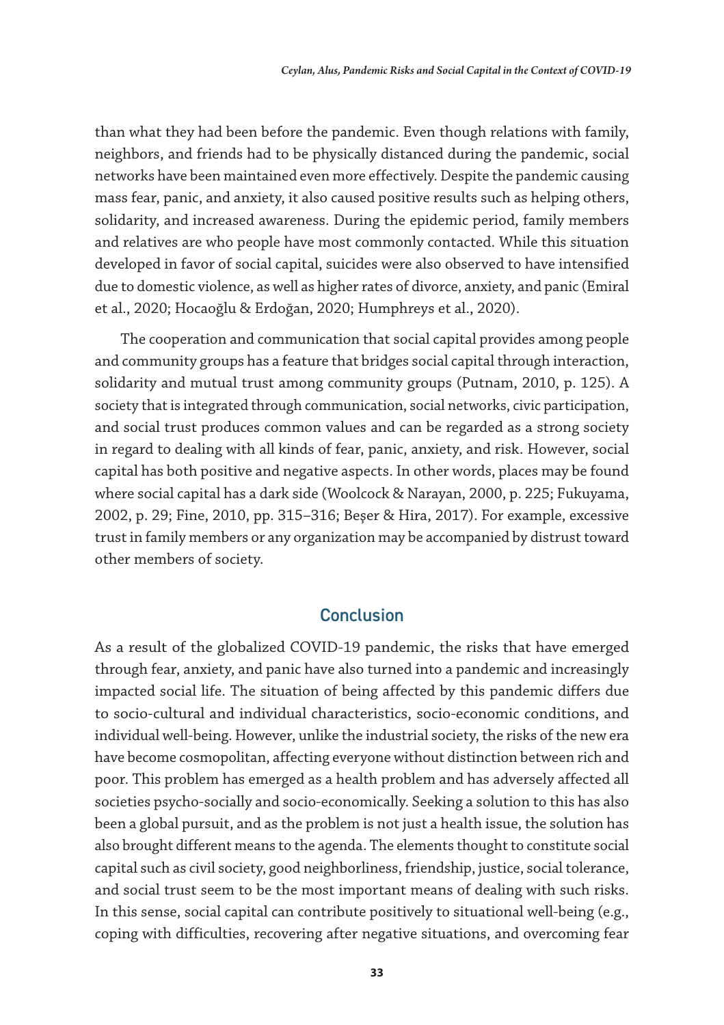than what they had been before the pandemic. Even though relations with family, neighbors, and friends had to be physically distanced during the pandemic, social networks have been maintained even more effectively. Despite the pandemic causing mass fear, panic, and anxiety, it also caused positive results such as helping others, solidarity, and increased awareness. During the epidemic period, family members and relatives are who people have most commonly contacted. While this situation developed in favor of social capital, suicides were also observed to have intensified due to domestic violence, as well as higher rates of divorce, anxiety, and panic (Emiral et al., 2020; Hocaoğlu & Erdoğan, 2020; Humphreys et al., 2020).

The cooperation and communication that social capital provides among people and community groups has a feature that bridges social capital through interaction, solidarity and mutual trust among community groups (Putnam, 2010, p. 125). A society that is integrated through communication, social networks, civic participation, and social trust produces common values and can be regarded as a strong society in regard to dealing with all kinds of fear, panic, anxiety, and risk. However, social capital has both positive and negative aspects. In other words, places may be found where social capital has a dark side (Woolcock & Narayan, 2000, p. 225; Fukuyama, 2002, p. 29; Fine, 2010, pp. 315–316; Beşer & Hira, 2017). For example, excessive trust in family members or any organization may be accompanied by distrust toward other members of society.

### **Conclusion**

As a result of the globalized COVID-19 pandemic, the risks that have emerged through fear, anxiety, and panic have also turned into a pandemic and increasingly impacted social life. The situation of being affected by this pandemic differs due to socio-cultural and individual characteristics, socio-economic conditions, and individual well-being. However, unlike the industrial society, the risks of the new era have become cosmopolitan, affecting everyone without distinction between rich and poor. This problem has emerged as a health problem and has adversely affected all societies psycho-socially and socio-economically. Seeking a solution to this has also been a global pursuit, and as the problem is not just a health issue, the solution has also brought different means to the agenda. The elements thought to constitute social capital such as civil society, good neighborliness, friendship, justice, social tolerance, and social trust seem to be the most important means of dealing with such risks. In this sense, social capital can contribute positively to situational well-being (e.g., coping with difficulties, recovering after negative situations, and overcoming fear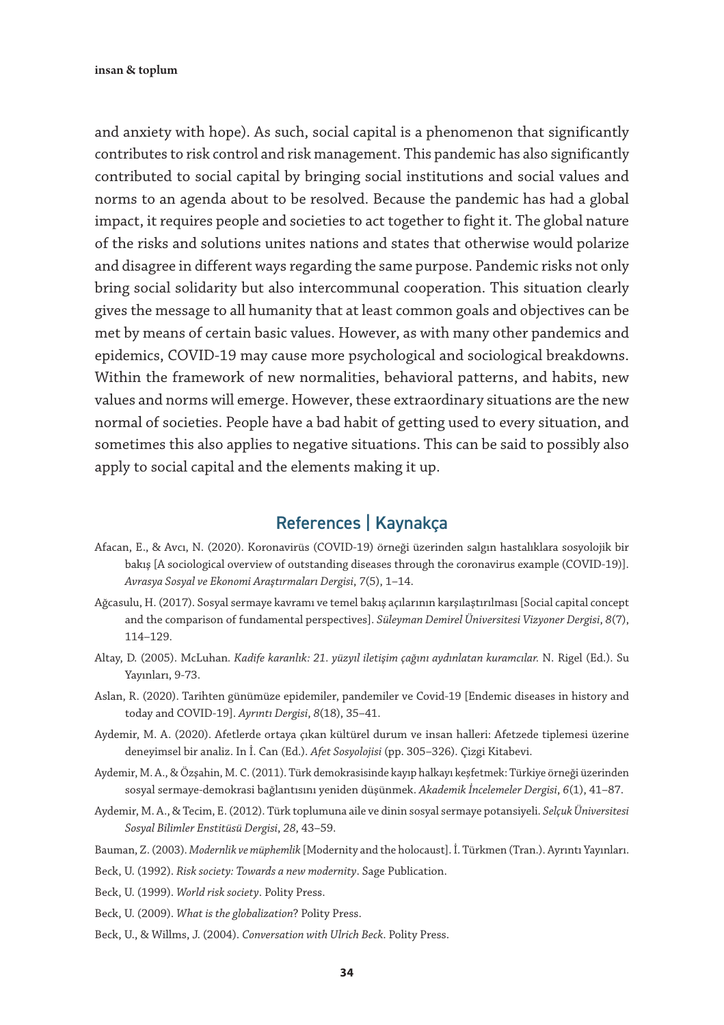and anxiety with hope). As such, social capital is a phenomenon that significantly contributes to risk control and risk management. This pandemic has also significantly contributed to social capital by bringing social institutions and social values and norms to an agenda about to be resolved. Because the pandemic has had a global impact, it requires people and societies to act together to fight it. The global nature of the risks and solutions unites nations and states that otherwise would polarize and disagree in different ways regarding the same purpose. Pandemic risks not only bring social solidarity but also intercommunal cooperation. This situation clearly gives the message to all humanity that at least common goals and objectives can be met by means of certain basic values. However, as with many other pandemics and epidemics, COVID-19 may cause more psychological and sociological breakdowns. Within the framework of new normalities, behavioral patterns, and habits, new values and norms will emerge. However, these extraordinary situations are the new normal of societies. People have a bad habit of getting used to every situation, and sometimes this also applies to negative situations. This can be said to possibly also apply to social capital and the elements making it up.

## References | Kaynakça

- Afacan, E., & Avcı, N. (2020). Koronavirüs (COVID-19) örneği üzerinden salgın hastalıklara sosyolojik bir bakış [A sociological overview of outstanding diseases through the coronavirus example (COVID-19)]. *Avrasya Sosyal ve Ekonomi Araştırmaları Dergisi*, *7*(5), 1–14.
- Ağcasulu, H. (2017). Sosyal sermaye kavramı ve temel bakış açılarının karşılaştırılması [Social capital concept and the comparison of fundamental perspectives]. *Süleyman Demirel Üniversitesi Vizyoner Dergisi*, *8*(7), 114–129.
- Altay, D. (2005). McLuhan*. Kadife karanlık: 21. yüzyıl iletişim çağını aydınlatan kuramcılar.* N. Rigel (Ed.). Su Yayınları, 9-73.
- Aslan, R. (2020). Tarihten günümüze epidemiler, pandemiler ve Covid-19 [Endemic diseases in history and today and COVID-19]. *Ayrıntı Dergisi*, *8*(18), 35–41.
- Aydemir, M. A. (2020). Afetlerde ortaya çıkan kültürel durum ve insan halleri: Afetzede tiplemesi üzerine deneyimsel bir analiz. In İ. Can (Ed.). *Afet Sosyolojisi* (pp. 305–326). Çizgi Kitabevi.
- Aydemir, M. A., & Özşahin, M. C. (2011). Türk demokrasisinde kayıp halkayı keşfetmek: Türkiye örneği üzerinden sosyal sermaye-demokrasi bağlantısını yeniden düşünmek. *Akademik İncelemeler Dergisi*, *6*(1), 41–87.
- Aydemir, M. A., & Tecim, E. (2012). Türk toplumuna aile ve dinin sosyal sermaye potansiyeli. *Selçuk Üniversitesi Sosyal Bilimler Enstitüsü Dergisi*, *28*, 43–59.
- Bauman, Z. (2003). *Modernlik ve müphemlik* [Modernity and the holocaust]. İ. Türkmen (Tran.). Ayrıntı Yayınları.
- Beck, U. (1992). *Risk society: Towards a new modernity*. Sage Publication.
- Beck, U. (1999). *World risk society*. Polity Press.
- Beck, U. (2009). *What is the globalization*? Polity Press.
- Beck, U., & Willms, J. (2004). *Conversation with Ulrich Beck*. Polity Press.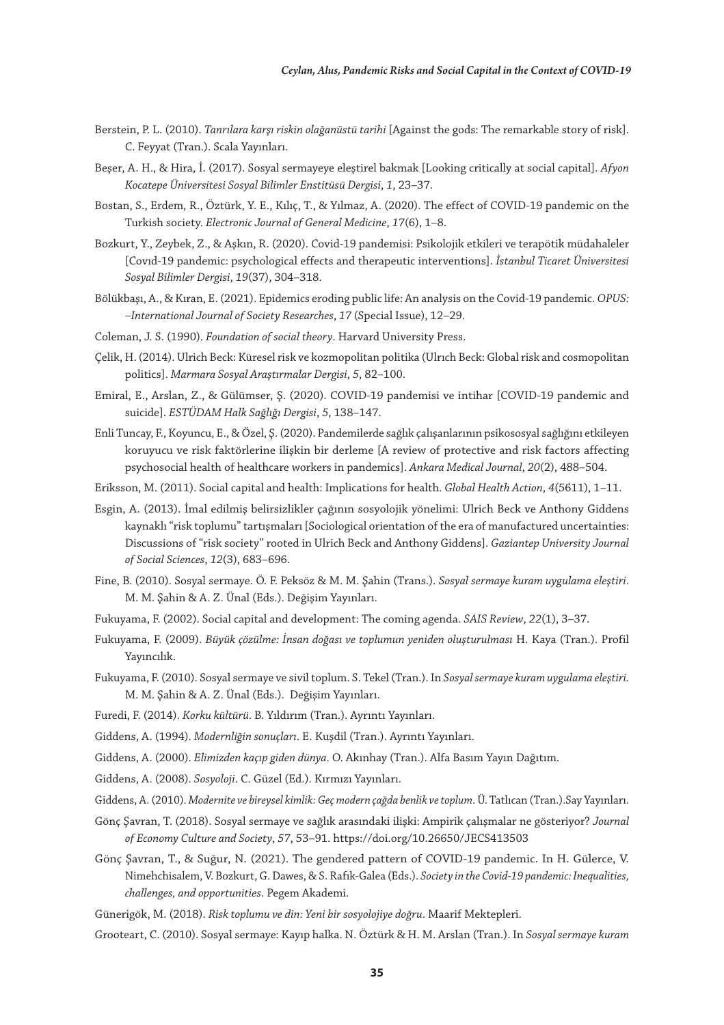- Berstein, P. L. (2010). *Tanrılara karşı riskin olağanüstü tarihi* [Against the gods: The remarkable story of risk]. C. Feyyat (Tran.). Scala Yayınları.
- Beşer, A. H., & Hira, İ. (2017). Sosyal sermayeye eleştirel bakmak [Looking critically at social capital]. *Afyon Kocatepe Üniversitesi Sosyal Bilimler Enstitüsü Dergisi*, *1*, 23–37.
- Bostan, S., Erdem, R., Öztürk, Y. E., Kılıç, T., & Yılmaz, A. (2020). The effect of COVID-19 pandemic on the Turkish society. *Electronic Journal of General Medicine*, *17*(6), 1–8.
- Bozkurt, Y., Zeybek, Z., & Aşkın, R. (2020). Covid-19 pandemisi: Psikolojik etkileri ve terapötik müdahaleler [Covıd-19 pandemic: psychological effects and therapeutic interventions]. *İstanbul Ticaret Üniversitesi Sosyal Bilimler Dergisi*, *19*(37), 304–318.
- Bölükbaşı, A., & Kıran, E. (2021). Epidemics eroding public life: An analysis on the Covid-19 pandemic. *OPUS: –International Journal of Society Researches*, *17* (Special Issue), 12–29.
- Coleman, J. S. (1990). *Foundation of social theory*. Harvard University Press.
- Çelik, H. (2014). Ulrich Beck: Küresel risk ve kozmopolitan politika (Ulrıch Beck: Global risk and cosmopolitan politics]. *Marmara Sosyal Araştırmalar Dergisi*, *5*, 82–100.
- Emiral, E., Arslan, Z., & Gülümser, Ş. (2020). COVID-19 pandemisi ve intihar [COVID-19 pandemic and suicide]. *ESTÜDAM Halk Sağlığı Dergisi*, *5*, 138–147.
- Enli Tuncay, F., Koyuncu, E., & Özel, Ş. (2020). Pandemilerde sağlık çalışanlarının psikososyal sağlığını etkileyen koruyucu ve risk faktörlerine ilişkin bir derleme [A review of protective and risk factors affecting psychosocial health of healthcare workers in pandemics]. *Ankara Medical Journal*, *20*(2), 488–504.
- Eriksson, M. (2011). Social capital and health: Implications for health. *Global Health Action*, *4*(5611), 1–11.
- Esgin, A. (2013). İmal edilmiş belirsizlikler çağının sosyolojik yönelimi: Ulrich Beck ve Anthony Giddens kaynaklı "risk toplumu" tartışmaları [Sociological orientation of the era of manufactured uncertainties: Discussions of "risk society" rooted in Ulrich Beck and Anthony Giddens]. *Gaziantep University Journal of Social Sciences*, *12*(3), 683–696.
- Fine, B. (2010). Sosyal sermaye. Ö. F. Peksöz & M. M. Şahin (Trans.). *Sosyal sermaye kuram uygulama eleştiri*. M. M. Şahin & A. Z. Ünal (Eds.). Değişim Yayınları.
- Fukuyama, F. (2002). Social capital and development: The coming agenda. *SAIS Review*, *22*(1), 3–37.
- Fukuyama, F. (2009). *Büyük çözülme: İnsan doğası ve toplumun yeniden oluşturulması* H. Kaya (Tran.). Profil Yayıncılık.
- Fukuyama, F. (2010). Sosyal sermaye ve sivil toplum. S. Tekel (Tran.). In *Sosyal sermaye kuram uygulama eleştiri.* M. M. Şahin & A. Z. Ünal (Eds.). Değişim Yayınları.
- Furedi, F. (2014). *Korku kültürü*. B. Yıldırım (Tran.). Ayrıntı Yayınları.
- Giddens, A. (1994). *Modernliğin sonuçları*. E. Kuşdil (Tran.). Ayrıntı Yayınları.
- Giddens, A. (2000). *Elimizden kaçıp giden dünya*. O. Akınhay (Tran.). Alfa Basım Yayın Dağıtım.
- Giddens, A. (2008). *Sosyoloji*. C. Güzel (Ed.). Kırmızı Yayınları.
- Giddens, A. (2010). *Modernite ve bireysel kimlik: Geç modern çağda benlik ve toplum*. Ü. Tatlıcan (Tran.).Say Yayınları.
- Gönç Şavran, T. (2018). Sosyal sermaye ve sağlık arasındaki ilişki: Ampirik çalışmalar ne gösteriyor? *Journal of Economy Culture and Society*, *57*, 53–91. https://doi.org/10.26650/JECS413503
- Gönç Şavran, T., & Suğur, N. (2021). The gendered pattern of COVID-19 pandemic. In H. Gülerce, V. Nimehchisalem, V. Bozkurt, G. Dawes, & S. Rafık-Galea (Eds.). *Society in the Covid-19 pandemic: Inequalities, challenges, and opportunities*. Pegem Akademi.
- Günerigök, M. (2018). *Risk toplumu ve din: Yeni bir sosyolojiye doğru*. Maarif Mektepleri.
- Grooteart, C. (2010). Sosyal sermaye: Kayıp halka. N. Öztürk & H. M. Arslan (Tran.). In *Sosyal sermaye kuram*